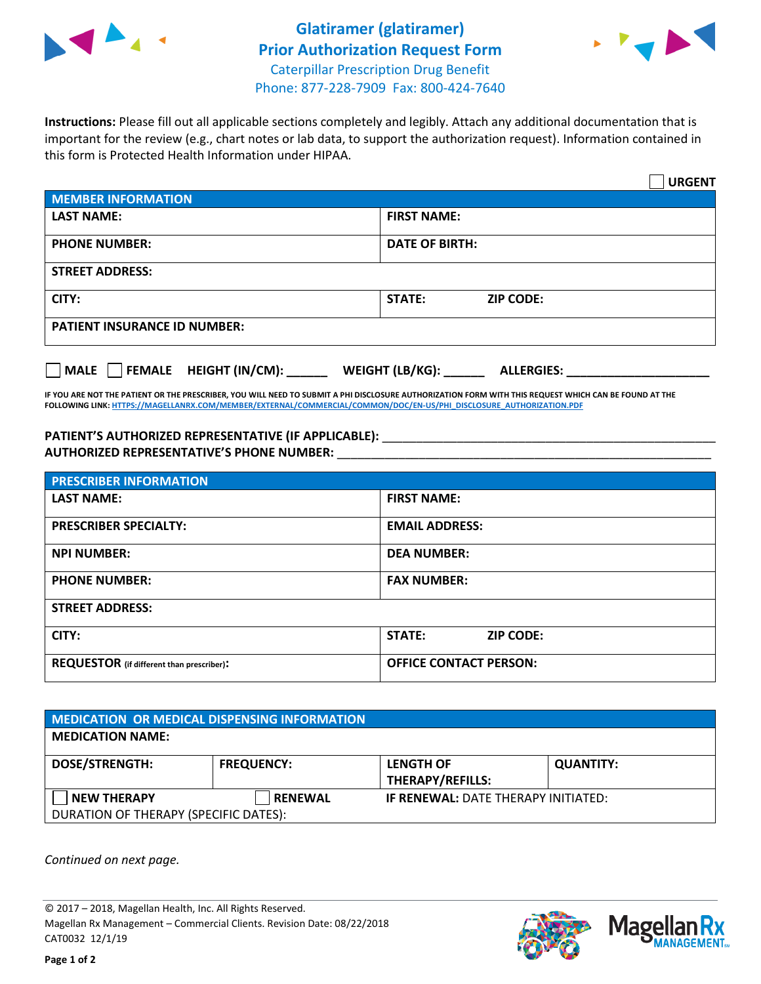



**Instructions:** Please fill out all applicable sections completely and legibly. Attach any additional documentation that is important for the review (e.g., chart notes or lab data, to support the authorization request). Information contained in this form is Protected Health Information under HIPAA.

|                                       | <b>URGENT</b>                        |  |  |  |
|---------------------------------------|--------------------------------------|--|--|--|
| <b>MEMBER INFORMATION</b>             |                                      |  |  |  |
| <b>LAST NAME:</b>                     | <b>FIRST NAME:</b>                   |  |  |  |
| <b>PHONE NUMBER:</b>                  | <b>DATE OF BIRTH:</b>                |  |  |  |
| <b>STREET ADDRESS:</b>                |                                      |  |  |  |
| CITY:                                 | STATE:<br><b>ZIP CODE:</b>           |  |  |  |
| <b>PATIENT INSURANCE ID NUMBER:</b>   |                                      |  |  |  |
| FEMALE HEIGHT (IN/CM):<br><b>MALE</b> | WEIGHT (LB/KG):<br><b>ALLERGIES:</b> |  |  |  |

**IF YOU ARE NOT THE PATIENT OR THE PRESCRIBER, YOU WILL NEED TO SUBMIT A PHI DISCLOSURE AUTHORIZATION FORM WITH THIS REQUEST WHICH CAN BE FOUND AT THE FOLLOWING LINK[: HTTPS://MAGELLANRX.COM/MEMBER/EXTERNAL/COMMERCIAL/COMMON/DOC/EN-US/PHI\\_DISCLOSURE\\_AUTHORIZATION.PDF](https://magellanrx.com/member/external/commercial/common/doc/en-us/PHI_Disclosure_Authorization.pdf)**

PATIENT'S AUTHORIZED REPRESENTATIVE (IF APPLICABLE): \_\_\_\_\_\_\_\_\_\_\_\_\_\_\_\_\_\_\_\_\_\_\_\_\_\_\_ **AUTHORIZED REPRESENTATIVE'S PHONE NUMBER:** \_\_\_\_\_\_\_\_\_\_\_\_\_\_\_\_\_\_\_\_\_\_\_\_\_\_\_\_\_\_\_\_\_\_\_\_\_\_\_\_\_\_\_\_\_\_\_\_\_\_\_\_\_\_\_

| <b>PRESCRIBER INFORMATION</b>             |                               |  |  |  |
|-------------------------------------------|-------------------------------|--|--|--|
| <b>LAST NAME:</b>                         | <b>FIRST NAME:</b>            |  |  |  |
| <b>PRESCRIBER SPECIALTY:</b>              | <b>EMAIL ADDRESS:</b>         |  |  |  |
| <b>NPI NUMBER:</b>                        | <b>DEA NUMBER:</b>            |  |  |  |
| <b>PHONE NUMBER:</b>                      | <b>FAX NUMBER:</b>            |  |  |  |
| <b>STREET ADDRESS:</b>                    |                               |  |  |  |
| CITY:                                     | STATE:<br><b>ZIP CODE:</b>    |  |  |  |
| REQUESTOR (if different than prescriber): | <b>OFFICE CONTACT PERSON:</b> |  |  |  |

| <b>MEDICATION OR MEDICAL DISPENSING INFORMATION</b> |                   |                                            |                  |  |  |
|-----------------------------------------------------|-------------------|--------------------------------------------|------------------|--|--|
| <b>MEDICATION NAME:</b>                             |                   |                                            |                  |  |  |
| <b>DOSE/STRENGTH:</b>                               | <b>FREQUENCY:</b> | <b>LENGTH OF</b>                           | <b>QUANTITY:</b> |  |  |
|                                                     |                   | <b>THERAPY/REFILLS:</b>                    |                  |  |  |
| <b>NEW THERAPY</b>                                  | <b>RENEWAL</b>    | <b>IF RENEWAL: DATE THERAPY INITIATED:</b> |                  |  |  |
| DURATION OF THERAPY (SPECIFIC DATES):               |                   |                                            |                  |  |  |

*Continued on next page.*

© 2017 – 2018, Magellan Health, Inc. All Rights Reserved. Magellan Rx Management – Commercial Clients. Revision Date: 08/22/2018 CAT0032 12/1/19